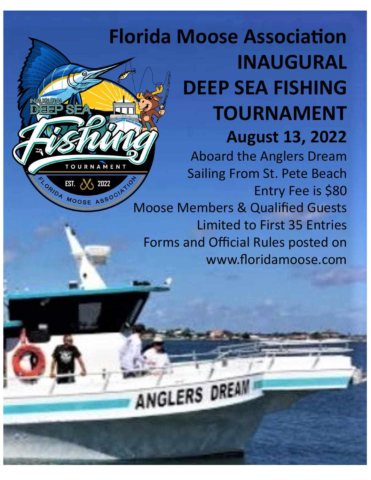# **Florida Moose Association INAUGURAL DEEP SEA FISHING TOURNAMENT August 13, 2022**

OURNAMENT

TORIOA MOOSE ASSOCIAT

Aboard the Anglers Dream Sailing From St. Pete Beach Entry Fee is \$80 Moose Members & Qualified Guests Limited to First 35 Entries Forms and Official Rules posted on www.floridamoose.com

ANGLERS DREAM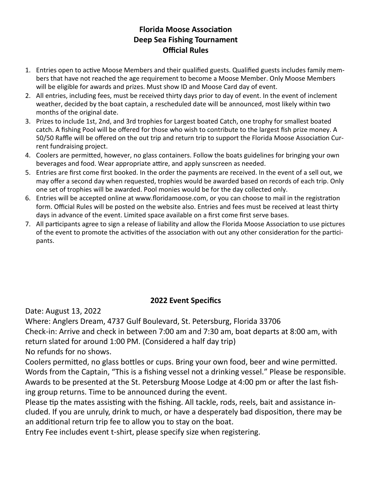## **Florida Moose Association Deep Sea Fishing Tournament Official Rules**

- 1. Entries open to active Moose Members and their qualified guests. Qualified guests includes family members that have not reached the age requirement to become a Moose Member. Only Moose Members will be eligible for awards and prizes. Must show ID and Moose Card day of event.
- 2. All entries, including fees, must be received thirty days prior to day of event. In the event of inclement weather, decided by the boat captain, a rescheduled date will be announced, most likely within two months of the original date.
- 3. Prizes to include 1st, 2nd, and 3rd trophies for Largest boated Catch, one trophy for smallest boated catch. A fishing Pool will be offered for those who wish to contribute to the largest fish prize money. A 50/50 Raffle will be offered on the out trip and return trip to support the Florida Moose Association Current fundraising project.
- 4. Coolers are permitted, however, no glass containers. Follow the boats guidelines for bringing your own beverages and food. Wear appropriate attire, and apply sunscreen as needed.
- 5. Entries are first come first booked. In the order the payments are received. In the event of a sell out, we may offer a second day when requested, trophies would be awarded based on records of each trip. Only one set of trophies will be awarded. Pool monies would be for the day collected only.
- 6. Entries will be accepted online at www.floridamoose.com, or you can choose to mail in the registration form. Official Rules will be posted on the website also. Entries and fees must be received at least thirty days in advance of the event. Limited space available on a first come first serve bases.
- 7. All participants agree to sign a release of liability and allow the Florida Moose Association to use pictures of the event to promote the activities of the association with out any other consideration for the participants.

## **2022 Event Specifics**

Date: August 13, 2022

Where: Anglers Dream, 4737 Gulf Boulevard, St. Petersburg, Florida 33706 Check-in: Arrive and check in between 7:00 am and 7:30 am, boat departs at 8:00 am, with return slated for around 1:00 PM. (Considered a half day trip)

No refunds for no shows.

Coolers permitted, no glass bottles or cups. Bring your own food, beer and wine permitted. Words from the Captain, "This is a fishing vessel not a drinking vessel." Please be responsible. Awards to be presented at the St. Petersburg Moose Lodge at 4:00 pm or after the last fishing group returns. Time to be announced during the event.

Please tip the mates assisting with the fishing. All tackle, rods, reels, bait and assistance included. If you are unruly, drink to much, or have a desperately bad disposition, there may be an additional return trip fee to allow you to stay on the boat.

Entry Fee includes event t-shirt, please specify size when registering.